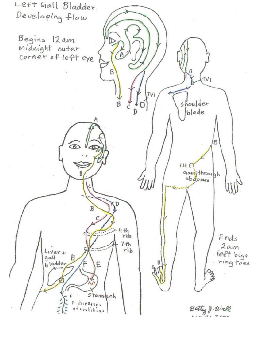